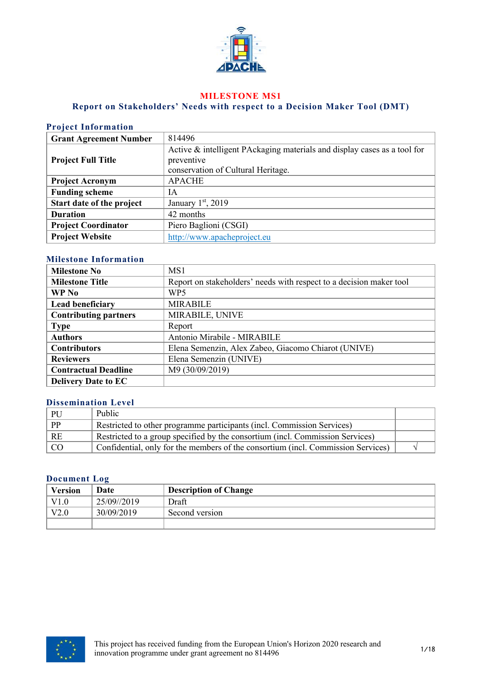

### **MILESTONE MS1**

## **Report on Stakeholders' Needs with respect to a Decision Maker Tool (DMT)**

# **Project Information**

| <b>Grant Agreement Number</b> | 814496                                                                   |
|-------------------------------|--------------------------------------------------------------------------|
|                               | Active & intelligent PAckaging materials and display cases as a tool for |
| <b>Project Full Title</b>     | preventive                                                               |
|                               | conservation of Cultural Heritage.                                       |
| <b>Project Acronym</b>        | <b>APACHE</b>                                                            |
| <b>Funding scheme</b>         | IA                                                                       |
| Start date of the project     | January $1st$ , 2019                                                     |
| <b>Duration</b>               | 42 months                                                                |
| <b>Project Coordinator</b>    | Piero Baglioni (CSGI)                                                    |
| <b>Project Website</b>        | http://www.apacheproject.eu                                              |

### **Milestone Information**

| <b>Milestone No</b>          | MS1                                                                 |  |
|------------------------------|---------------------------------------------------------------------|--|
| <b>Milestone Title</b>       | Report on stakeholders' needs with respect to a decision maker tool |  |
| WP No                        | WP <sub>5</sub>                                                     |  |
| <b>Lead beneficiary</b>      | <b>MIRABILE</b>                                                     |  |
| <b>Contributing partners</b> | MIRABILE, UNIVE                                                     |  |
| <b>Type</b>                  | Report                                                              |  |
| <b>Authors</b>               | Antonio Mirabile - MIRABILE                                         |  |
| <b>Contributors</b>          | Elena Semenzin, Alex Zabeo, Giacomo Chiarot (UNIVE)                 |  |
| <b>Reviewers</b>             | Elena Semenzin (UNIVE)                                              |  |
| <b>Contractual Deadline</b>  | M9 (30/09/2019)                                                     |  |
| <b>Delivery Date to EC</b>   |                                                                     |  |

#### **Dissemination Level**

| PU              | Public                                                                           |  |
|-----------------|----------------------------------------------------------------------------------|--|
| $\mathsf{I}$ PP | Restricted to other programme participants (incl. Commission Services)           |  |
| RE              | Restricted to a group specified by the consortium (incl. Commission Services)    |  |
| I CO            | Confidential, only for the members of the consortium (incl. Commission Services) |  |

#### **Document Log**

| <b>Version</b> | Date        | <b>Description of Change</b> |
|----------------|-------------|------------------------------|
| $_{\rm V1.0}$  | 25/09//2019 | Draft                        |
| V2.0           | 30/09/2019  | Second version               |
|                |             |                              |

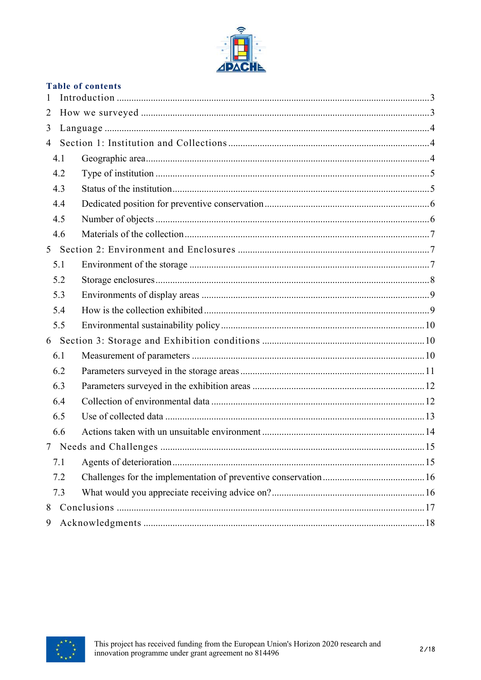

|  | <b>Table of contents</b> |
|--|--------------------------|
|  |                          |

| $\mathbf{1}$   |  |
|----------------|--|
| 2              |  |
| 3              |  |
| $\overline{4}$ |  |
| 4.1            |  |
| 4.2            |  |
| 4.3            |  |
| 4.4            |  |
| 4.5            |  |
| 4.6            |  |
|                |  |
| 5.1            |  |
| 5.2            |  |
| 5.3            |  |
| 5.4            |  |
| 5.5            |  |
|                |  |
| 6.1            |  |
| 6.2            |  |
| 6.3            |  |
| 6.4            |  |
| 6.5            |  |
| 6.6            |  |
|                |  |
| 7.1            |  |
| 7.2            |  |
| 7.3            |  |
| 8              |  |
| 9              |  |

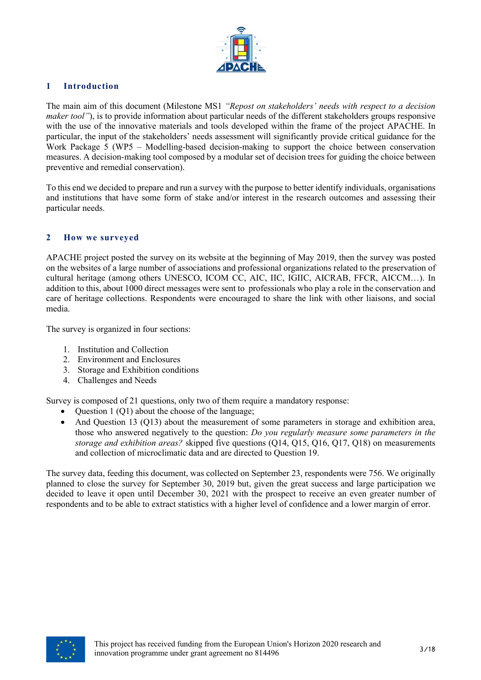

## **1 Introduction**

The main aim of this document (Milestone MS1 *"Repost on stakeholders' needs with respect to a decision maker tool"*), is to provide information about particular needs of the different stakeholders groups responsive with the use of the innovative materials and tools developed within the frame of the project APACHE. In particular, the input of the stakeholders' needs assessment will significantly provide critical guidance for the Work Package 5 (WP5 – Modelling-based decision-making to support the choice between conservation measures. A decision-making tool composed by a modular set of decision trees for guiding the choice between preventive and remedial conservation).

To this end we decided to prepare and run a survey with the purpose to better identify individuals, organisations and institutions that have some form of stake and/or interest in the research outcomes and assessing their particular needs.

#### **2 How we surveyed**

APACHE project posted the survey on its website at the beginning of May 2019, then the survey was posted on the websites of a large number of associations and professional organizations related to the preservation of cultural heritage (among others UNESCO, ICOM CC, AIC, IIC, IGIIC, AICRAB, FFCR, AICCM…). In addition to this, about 1000 direct messages were sent to professionals who play a role in the conservation and care of heritage collections. Respondents were encouraged to share the link with other liaisons, and social media.

The survey is organized in four sections:

- 1. Institution and Collection
- 2. Environment and Enclosures
- 3. Storage and Exhibition conditions
- 4. Challenges and Needs

Survey is composed of 21 questions, only two of them require a mandatory response:

- Question 1 (Q1) about the choose of the language;
- And Question 13 (Q13) about the measurement of some parameters in storage and exhibition area, those who answered negatively to the question: *Do you regularly measure some parameters in the storage and exhibition areas?* skipped five questions (Q14, Q15, Q16, Q17, Q18) on measurements and collection of microclimatic data and are directed to Question 19.

The survey data, feeding this document, was collected on September 23, respondents were 756. We originally planned to close the survey for September 30, 2019 but, given the great success and large participation we decided to leave it open until December 30, 2021 with the prospect to receive an even greater number of respondents and to be able to extract statistics with a higher level of confidence and a lower margin of error.

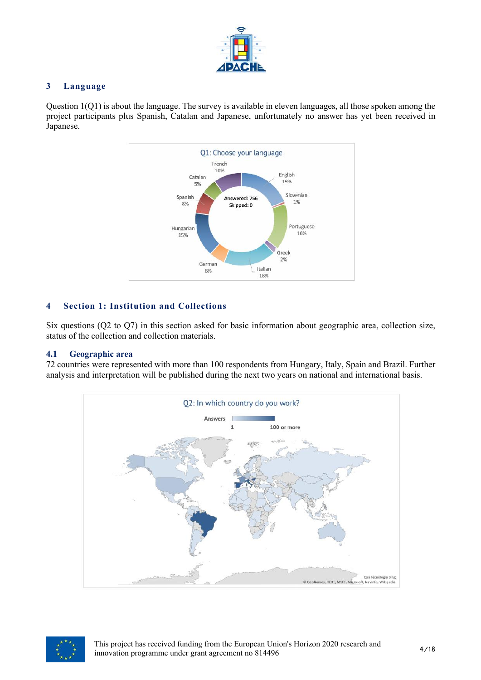

## **3 Language**

Question 1(Q1) is about the language. The survey is available in eleven languages, all those spoken among the project participants plus Spanish, Catalan and Japanese, unfortunately no answer has yet been received in Japanese.



# **4 Section 1: Institution and Collections**

Six questions (Q2 to Q7) in this section asked for basic information about geographic area, collection size, status of the collection and collection materials.

### **4.1 Geographic area**

72 countries were represented with more than 100 respondents from Hungary, Italy, Spain and Brazil. Further analysis and interpretation will be published during the next two years on national and international basis.



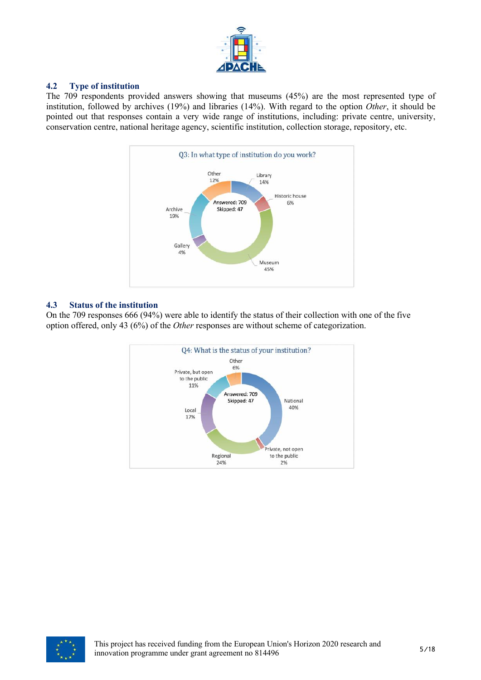

## **4.2 Type of institution**

The 709 respondents provided answers showing that museums (45%) are the most represented type of institution, followed by archives (19%) and libraries (14%). With regard to the option *Other*, it should be pointed out that responses contain a very wide range of institutions, including: private centre, university, conservation centre, national heritage agency, scientific institution, collection storage, repository, etc.



## **4.3 Status of the institution**

On the 709 responses 666 (94%) were able to identify the status of their collection with one of the five option offered, only 43 (6%) of the *Other* responses are without scheme of categorization.



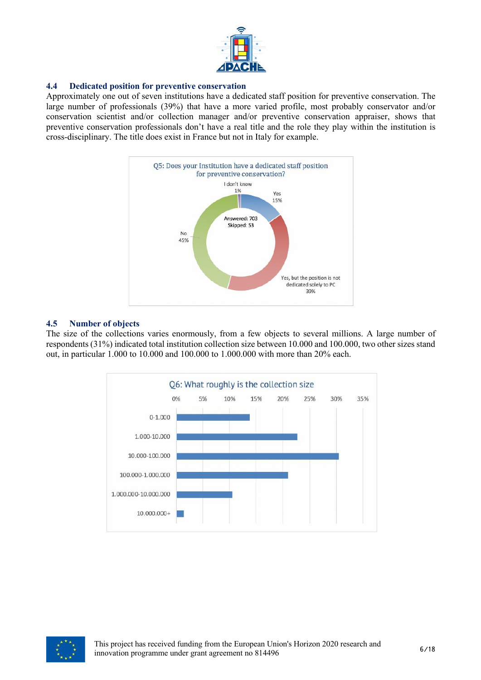

### **4.4 Dedicated position for preventive conservation**

Approximately one out of seven institutions have a dedicated staff position for preventive conservation. The large number of professionals (39%) that have a more varied profile, most probably conservator and/or conservation scientist and/or collection manager and/or preventive conservation appraiser, shows that preventive conservation professionals don't have a real title and the role they play within the institution is cross-disciplinary. The title does exist in France but not in Italy for example.



### **4.5 Number of objects**

The size of the collections varies enormously, from a few objects to several millions. A large number of respondents (31%) indicated total institution collection size between 10.000 and 100.000, two other sizes stand out, in particular 1.000 to 10.000 and 100.000 to 1.000.000 with more than 20% each.



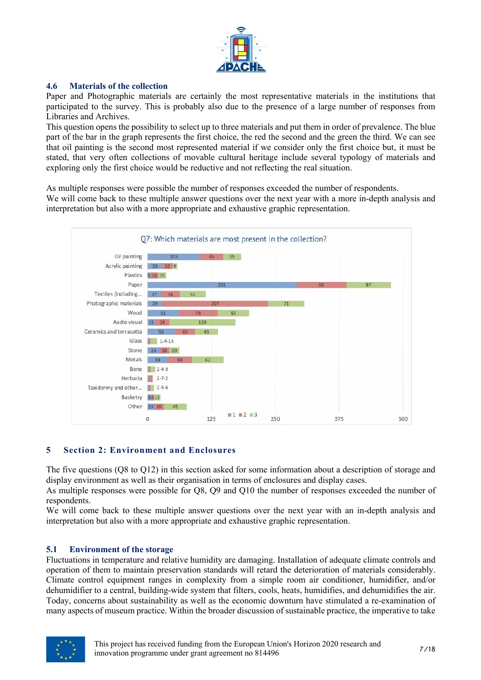

### **4.6 Materials of the collection**

Paper and Photographic materials are certainly the most representative materials in the institutions that participated to the survey. This is probably also due to the presence of a large number of responses from Libraries and Archives.

This question opens the possibility to select up to three materials and put them in order of prevalence. The blue part of the bar in the graph represents the first choice, the red the second and the green the third. We can see that oil painting is the second most represented material if we consider only the first choice but, it must be stated, that very often collections of movable cultural heritage include several typology of materials and exploring only the first choice would be reductive and not reflecting the real situation.

As multiple responses were possible the number of responses exceeded the number of respondents.

We will come back to these multiple answer questions over the next year with a more in-depth analysis and interpretation but also with a more appropriate and exhaustive graphic representation.



### **5 Section 2: Environment and Enclosures**

The five questions (Q8 to Q12) in this section asked for some information about a description of storage and display environment as well as their organisation in terms of enclosures and display cases.

As multiple responses were possible for Q8, Q9 and Q10 the number of responses exceeded the number of respondents.

We will come back to these multiple answer questions over the next year with an in-depth analysis and interpretation but also with a more appropriate and exhaustive graphic representation.

### **5.1 Environment of the storage**

Fluctuations in temperature and relative humidity are damaging. Installation of adequate climate controls and operation of them to maintain preservation standards will retard the deterioration of materials considerably. Climate control equipment ranges in complexity from a simple room air conditioner, humidifier, and/or dehumidifier to a central, building-wide system that filters, cools, heats, humidifies, and dehumidifies the air. Today, concerns about sustainability as well as the economic downturn have stimulated a re-examination of many aspects of museum practice. Within the broader discussion of sustainable practice, the imperative to take

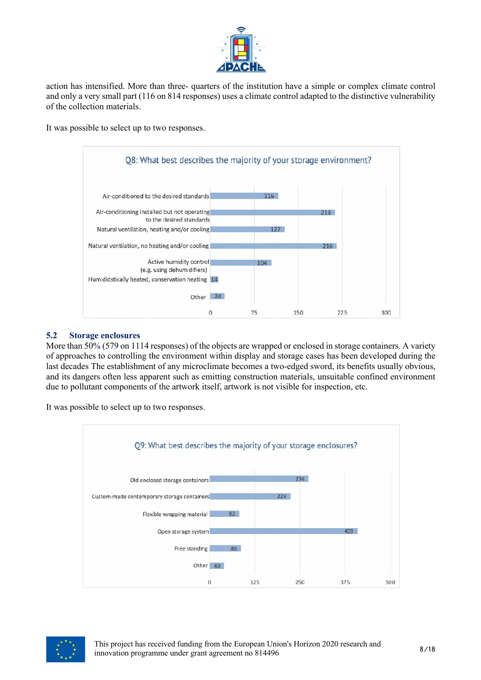

action has intensified. More than three- quarters of the institution have a simple or complex climate control and only a very small part (116 on 814 responses) uses a climate control adapted to the distinctive vulnerability of the collection materials.

It was possible to select up to two responses.



### **5.2 Storage enclosures**

More than 50% (579 on 1114 responses) of the objects are wrapped or enclosed in storage containers. A variety of approaches to controlling the environment within display and storage cases has been developed during the last decades The establishment of any microclimate becomes a two-edged sword, its benefits usually obvious, and its dangers often less apparent such as emitting construction materials, unsuitable confined environment due to pollutant components of the artwork itself, artwork is not visible for inspection, etc.

It was possible to select up to two responses.



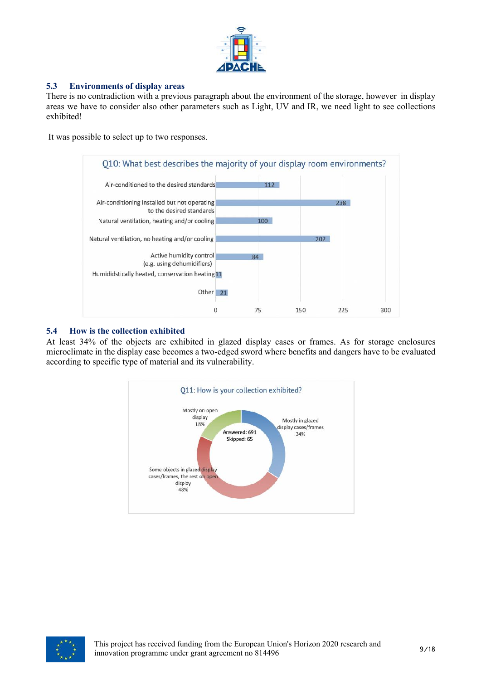

## **5.3 Environments of display areas**

There is no contradiction with a previous paragraph about the environment of the storage, however in display areas we have to consider also other parameters such as Light, UV and IR, we need light to see collections exhibited!

It was possible to select up to two responses.



#### **5.4 How is the collection exhibited**

At least 34% of the objects are exhibited in glazed display cases or frames. As for storage enclosures microclimate in the display case becomes a two-edged sword where benefits and dangers have to be evaluated according to specific type of material and its vulnerability.



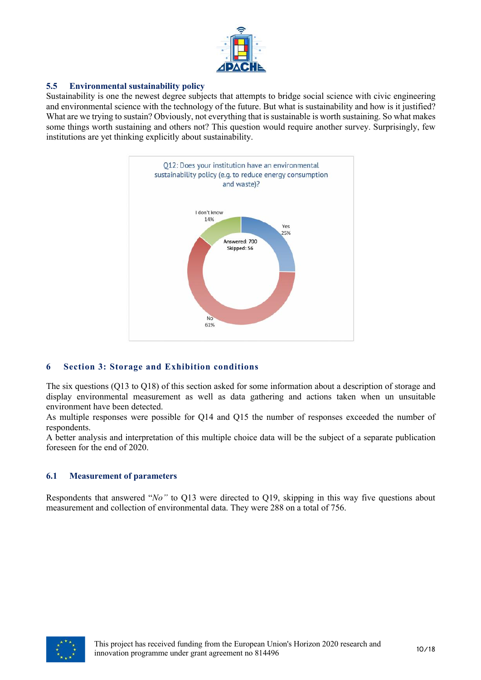

### **5.5 Environmental sustainability policy**

Sustainability is one the newest degree subjects that attempts to bridge social science with civic engineering and environmental science with the technology of the future. But what is sustainability and how is it justified? What are we trying to sustain? Obviously, not everything that is sustainable is worth sustaining. So what makes some things worth sustaining and others not? This question would require another survey. Surprisingly, few institutions are yet thinking explicitly about sustainability.



### **6 Section 3: Storage and Exhibition conditions**

The six questions (Q13 to Q18) of this section asked for some information about a description of storage and display environmental measurement as well as data gathering and actions taken when un unsuitable environment have been detected.

As multiple responses were possible for Q14 and Q15 the number of responses exceeded the number of respondents.

A better analysis and interpretation of this multiple choice data will be the subject of a separate publication foreseen for the end of 2020.

#### **6.1 Measurement of parameters**

Respondents that answered "*No"* to Q13 were directed to Q19, skipping in this way five questions about measurement and collection of environmental data. They were 288 on a total of 756.

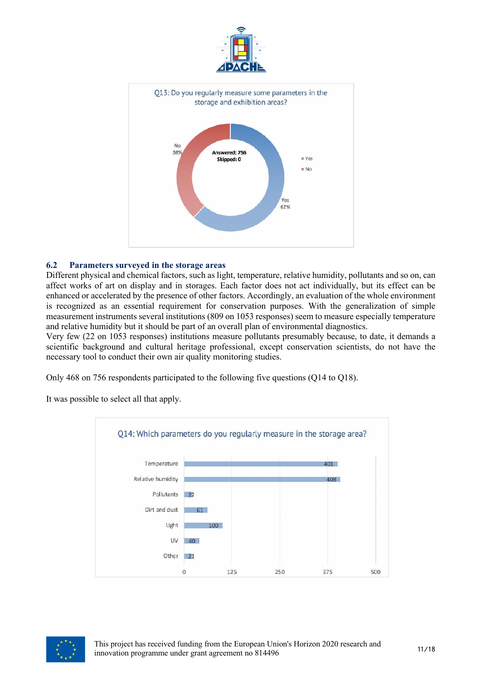

#### **6.2 Parameters surveyed in the storage areas**

Different physical and chemical factors, such as light, temperature, relative humidity, pollutants and so on, can affect works of art on display and in storages. Each factor does not act individually, but its effect can be enhanced or accelerated by the presence of other factors. Accordingly, an evaluation of the whole environment is recognized as an essential requirement for conservation purposes. With the generalization of simple measurement instruments several institutions (809 on 1053 responses) seem to measure especially temperature and relative humidity but it should be part of an overall plan of environmental diagnostics.

Very few (22 on 1053 responses) institutions measure pollutants presumably because, to date, it demands a scientific background and cultural heritage professional, except conservation scientists, do not have the necessary tool to conduct their own air quality monitoring studies.

Only 468 on 756 respondents participated to the following five questions (Q14 to Q18).

It was possible to select all that apply.



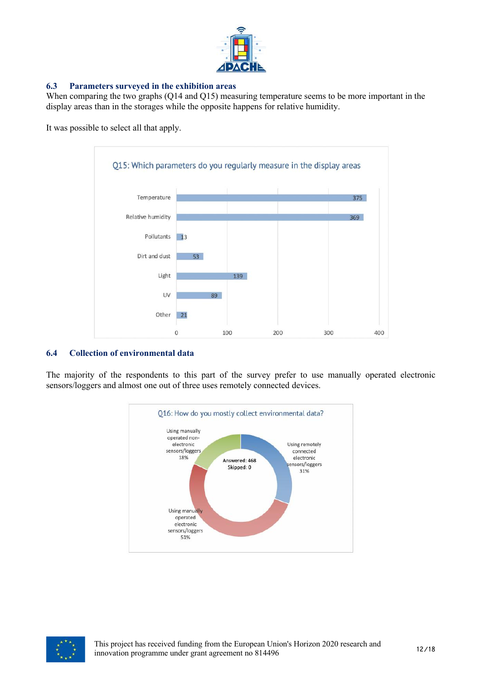

## **6.3 Parameters surveyed in the exhibition areas**

When comparing the two graphs (Q14 and Q15) measuring temperature seems to be more important in the display areas than in the storages while the opposite happens for relative humidity.

It was possible to select all that apply.



### **6.4 Collection of environmental data**

The majority of the respondents to this part of the survey prefer to use manually operated electronic sensors/loggers and almost one out of three uses remotely connected devices.



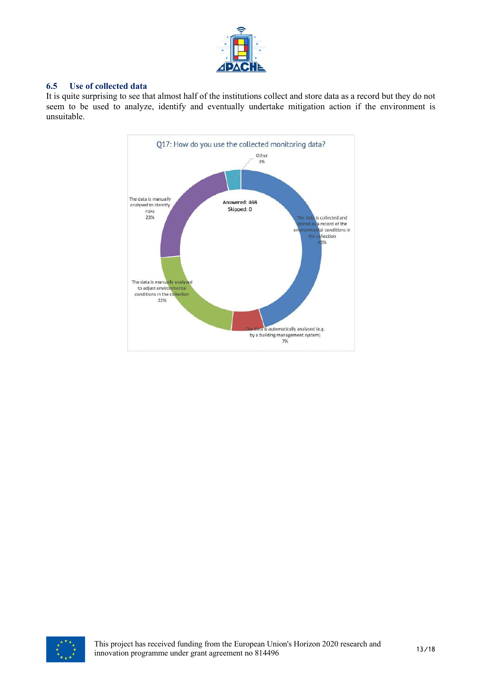

### **6.5 Use of collected data**

It is quite surprising to see that almost half of the institutions collect and store data as a record but they do not seem to be used to analyze, identify and eventually undertake mitigation action if the environment is unsuitable.



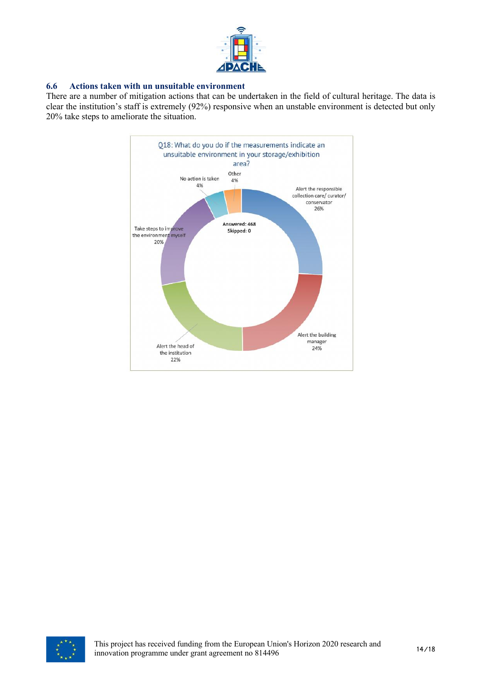

#### **6.6 Actions taken with un unsuitable environment**

There are a number of mitigation actions that can be undertaken in the field of cultural heritage. The data is clear the institution's staff is extremely (92%) responsive when an unstable environment is detected but only 20% take steps to ameliorate the situation.



![](_page_13_Picture_4.jpeg)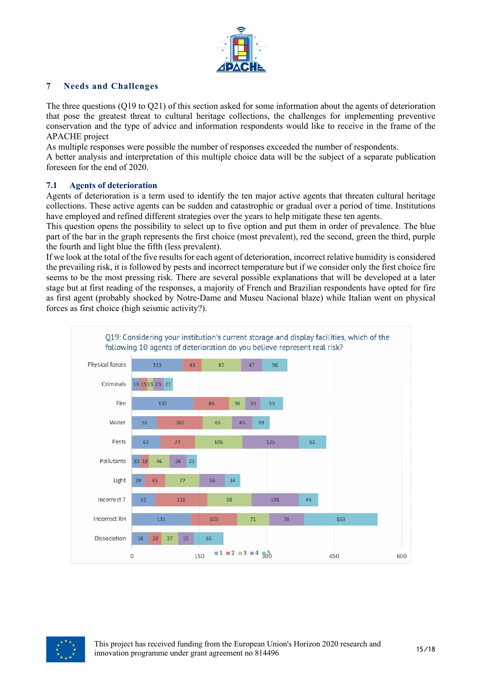![](_page_14_Picture_0.jpeg)

## **7 Needs and Challenges**

The three questions (Q19 to Q21) of this section asked for some information about the agents of deterioration that pose the greatest threat to cultural heritage collections, the challenges for implementing preventive conservation and the type of advice and information respondents would like to receive in the frame of the APACHE project

As multiple responses were possible the number of responses exceeded the number of respondents.

A better analysis and interpretation of this multiple choice data will be the subject of a separate publication foreseen for the end of 2020.

### **7.1 Agents of deterioration**

Agents of deterioration is a term used to identify the ten major active agents that threaten cultural heritage collections. These active agents can be sudden and catastrophic or gradual over a period of time. Institutions have employed and refined different strategies over the years to help mitigate these ten agents.

This question opens the possibility to select up to five option and put them in order of prevalence. The blue part of the bar in the graph represents the first choice (most prevalent), red the second, green the third, purple the fourth and light blue the fifth (less prevalent).

If we look at the total of the five results for each agent of deterioration, incorrect relative humidity is considered the prevailing risk, it is followed by pests and incorrect temperature but if we consider only the first choice fire seems to be the most pressing risk. There are several possible explanations that will be developed at a later stage but at first reading of the responses, a majority of French and Brazilian respondents have opted for fire as first agent (probably shocked by Notre-Dame and Museu Nacional blaze) while Italian went on physical forces as first choice (high seismic activity?).

![](_page_14_Figure_9.jpeg)

![](_page_14_Picture_10.jpeg)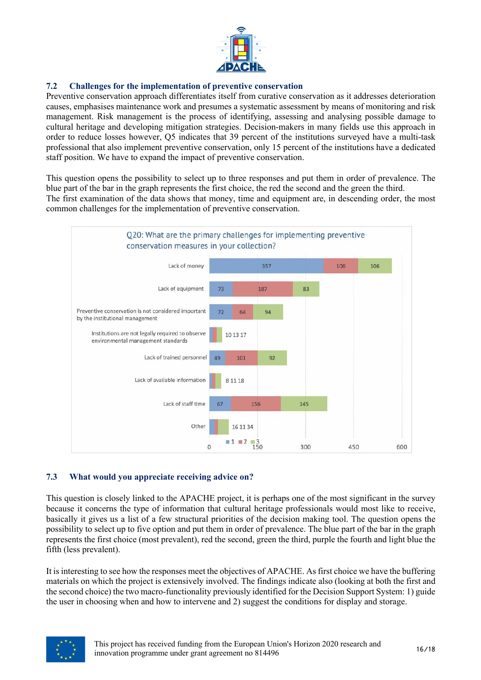![](_page_15_Picture_0.jpeg)

## **7.2 Challenges for the implementation of preventive conservation**

Preventive conservation approach differentiates itself from curative conservation as it addresses deterioration causes, emphasises maintenance work and presumes a systematic assessment by means of monitoring and risk management. Risk management is the process of identifying, assessing and analysing possible damage to cultural heritage and developing mitigation strategies. Decision-makers in many fields use this approach in order to reduce losses however, Q5 indicates that 39 percent of the institutions surveyed have a multi-task professional that also implement preventive conservation, only 15 percent of the institutions have a dedicated staff position. We have to expand the impact of preventive conservation.

This question opens the possibility to select up to three responses and put them in order of prevalence. The blue part of the bar in the graph represents the first choice, the red the second and the green the third. The first examination of the data shows that money, time and equipment are, in descending order, the most common challenges for the implementation of preventive conservation.

![](_page_15_Figure_4.jpeg)

### **7.3 What would you appreciate receiving advice on?**

This question is closely linked to the APACHE project, it is perhaps one of the most significant in the survey because it concerns the type of information that cultural heritage professionals would most like to receive, basically it gives us a list of a few structural priorities of the decision making tool. The question opens the possibility to select up to five option and put them in order of prevalence. The blue part of the bar in the graph represents the first choice (most prevalent), red the second, green the third, purple the fourth and light blue the fifth (less prevalent).

It is interesting to see how the responses meet the objectives of APACHE. As first choice we have the buffering materials on which the project is extensively involved. The findings indicate also (looking at both the first and the second choice) the two macro-functionality previously identified for the Decision Support System: 1) guide the user in choosing when and how to intervene and 2) suggest the conditions for display and storage.

![](_page_15_Picture_8.jpeg)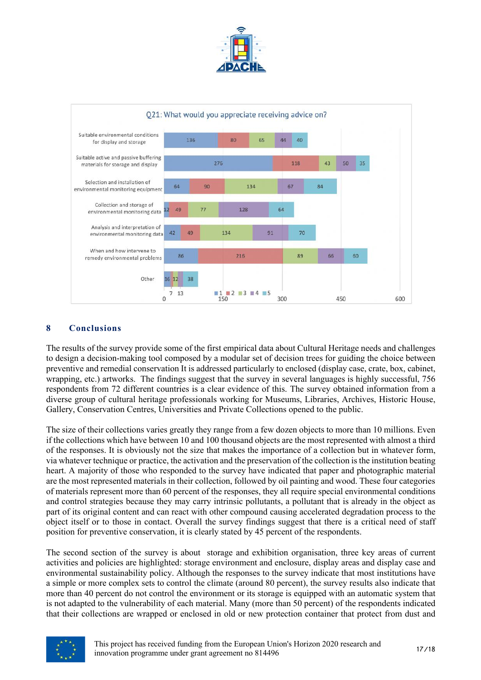![](_page_16_Picture_0.jpeg)

![](_page_16_Figure_1.jpeg)

## **8 Conclusions**

The results of the survey provide some of the first empirical data about Cultural Heritage needs and challenges to design a decision-making tool composed by a modular set of decision trees for guiding the choice between preventive and remedial conservation It is addressed particularly to enclosed (display case, crate, box, cabinet, wrapping, etc.) artworks. The findings suggest that the survey in several languages is highly successful, 756 respondents from 72 different countries is a clear evidence of this. The survey obtained information from a diverse group of cultural heritage professionals working for Museums, Libraries, Archives, Historic House, Gallery, Conservation Centres, Universities and Private Collections opened to the public.

The size of their collections varies greatly they range from a few dozen objects to more than 10 millions. Even if the collections which have between 10 and 100 thousand objects are the most represented with almost a third of the responses. It is obviously not the size that makes the importance of a collection but in whatever form, via whatever technique or practice, the activation and the preservation of the collection is the institution beating heart. A majority of those who responded to the survey have indicated that paper and photographic material are the most represented materials in their collection, followed by oil painting and wood. These four categories of materials represent more than 60 percent of the responses, they all require special environmental conditions and control strategies because they may carry intrinsic pollutants, a pollutant that is already in the object as part of its original content and can react with other compound causing accelerated degradation process to the object itself or to those in contact. Overall the survey findings suggest that there is a critical need of staff position for preventive conservation, it is clearly stated by 45 percent of the respondents.

The second section of the survey is about storage and exhibition organisation, three key areas of current activities and policies are highlighted: storage environment and enclosure, display areas and display case and environmental sustainability policy. Although the responses to the survey indicate that most institutions have a simple or more complex sets to control the climate (around 80 percent), the survey results also indicate that more than 40 percent do not control the environment or its storage is equipped with an automatic system that is not adapted to the vulnerability of each material. Many (more than 50 percent) of the respondents indicated that their collections are wrapped or enclosed in old or new protection container that protect from dust and

![](_page_16_Picture_6.jpeg)